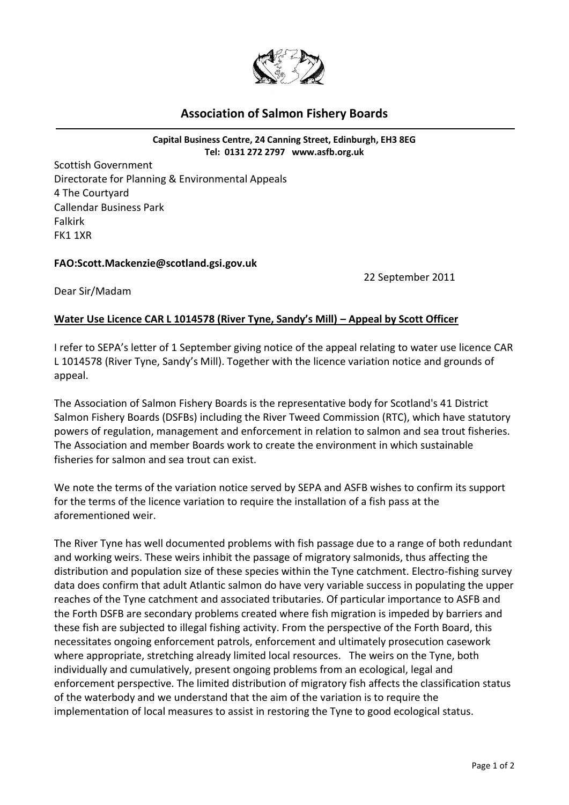

## **Association of Salmon Fishery Boards**

**Capital Business Centre, 24 Canning Street, Edinburgh, EH3 8EG Tel: 0131 272 2797 [www.asfb.org.uk](http://www.asfb.org.uk/)**

Scottish Government Directorate for Planning & Environmental Appeals 4 The Courtyard Callendar Business Park Falkirk FK1 1XR

## **FAO:Scott.Mackenzie@scotland.gsi.gov.uk**

22 September 2011

Dear Sir/Madam

## **Water Use Licence CAR L 1014578 (River Tyne, Sandy's Mill) – Appeal by Scott Officer**

I refer to SEPA's letter of 1 September giving notice of the appeal relating to water use licence CAR L 1014578 (River Tyne, Sandy's Mill). Together with the licence variation notice and grounds of appeal.

The Association of Salmon Fishery Boards is the representative body for Scotland's 41 District Salmon Fishery Boards (DSFBs) including the River Tweed Commission (RTC), which have statutory powers of regulation, management and enforcement in relation to salmon and sea trout fisheries. The Association and member Boards work to create the environment in which sustainable fisheries for salmon and sea trout can exist.

We note the terms of the variation notice served by SEPA and ASFB wishes to confirm its support for the terms of the licence variation to require the installation of a fish pass at the aforementioned weir.

The River Tyne has well documented problems with fish passage due to a range of both redundant and working weirs. These weirs inhibit the passage of migratory salmonids, thus affecting the distribution and population size of these species within the Tyne catchment. Electro-fishing survey data does confirm that adult Atlantic salmon do have very variable success in populating the upper reaches of the Tyne catchment and associated tributaries. Of particular importance to ASFB and the Forth DSFB are secondary problems created where fish migration is impeded by barriers and these fish are subjected to illegal fishing activity. From the perspective of the Forth Board, this necessitates ongoing enforcement patrols, enforcement and ultimately prosecution casework where appropriate, stretching already limited local resources. The weirs on the Tyne, both individually and cumulatively, present ongoing problems from an ecological, legal and enforcement perspective. The limited distribution of migratory fish affects the classification status of the waterbody and we understand that the aim of the variation is to require the implementation of local measures to assist in restoring the Tyne to good ecological status.